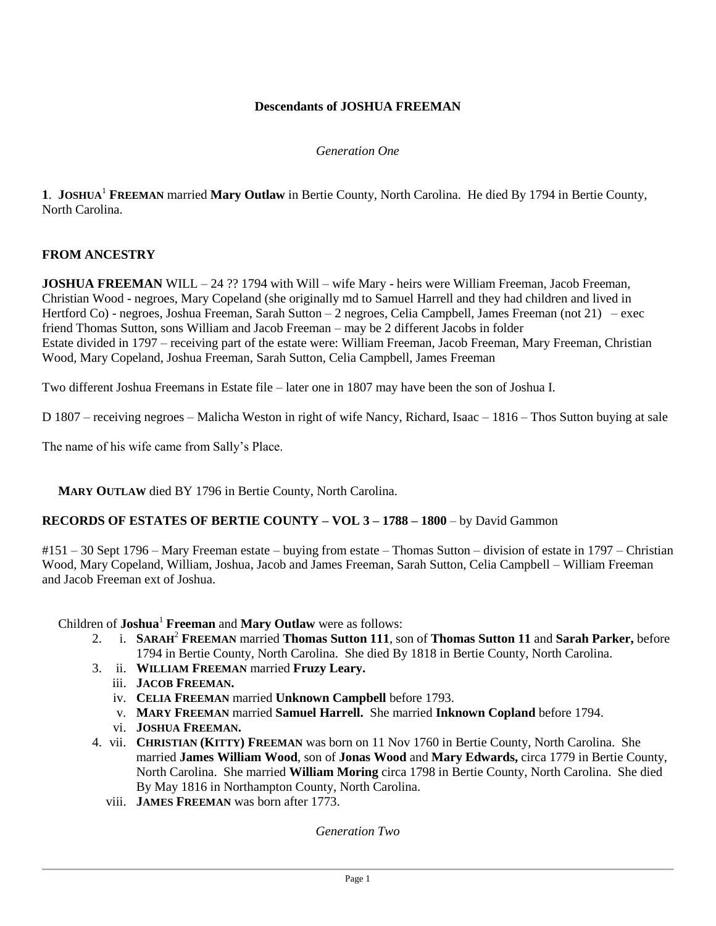# **Descendants of JOSHUA FREEMAN**

#### *Generation One*

**1**. **JOSHUA**<sup>1</sup> **FREEMAN** married **Mary Outlaw** in Bertie County, North Carolina. He died By 1794 in Bertie County, North Carolina.

## **FROM ANCESTRY**

**JOSHUA FREEMAN** WILL – 24 ?? 1794 with Will – wife Mary - heirs were William Freeman, Jacob Freeman, Christian Wood - negroes, Mary Copeland (she originally md to Samuel Harrell and they had children and lived in Hertford Co) - negroes, Joshua Freeman, Sarah Sutton – 2 negroes, Celia Campbell, James Freeman (not 21) – exec friend Thomas Sutton, sons William and Jacob Freeman – may be 2 different Jacobs in folder Estate divided in 1797 – receiving part of the estate were: William Freeman, Jacob Freeman, Mary Freeman, Christian Wood, Mary Copeland, Joshua Freeman, Sarah Sutton, Celia Campbell, James Freeman

Two different Joshua Freemans in Estate file – later one in 1807 may have been the son of Joshua I.

D 1807 – receiving negroes – Malicha Weston in right of wife Nancy, Richard, Isaac – 1816 – Thos Sutton buying at sale

The name of his wife came from Sally's Place.

**MARY OUTLAW** died BY 1796 in Bertie County, North Carolina.

## **RECORDS OF ESTATES OF BERTIE COUNTY – VOL 3 – 1788 – 1800** – by David Gammon

#151 – 30 Sept 1796 – Mary Freeman estate – buying from estate – Thomas Sutton – division of estate in 1797 – Christian Wood, Mary Copeland, William, Joshua, Jacob and James Freeman, Sarah Sutton, Celia Campbell – William Freeman and Jacob Freeman ext of Joshua.

Children of **Joshua**<sup>1</sup> **Freeman** and **Mary Outlaw** were as follows:

- 2. i. **SARAH**<sup>2</sup> **FREEMAN** married **Thomas Sutton 111**, son of **Thomas Sutton 11** and **Sarah Parker,** before 1794 in Bertie County, North Carolina. She died By 1818 in Bertie County, North Carolina.
- 3. ii. **WILLIAM FREEMAN** married **Fruzy Leary.**
	- iii. **JACOB FREEMAN.**
	- iv. **CELIA FREEMAN** married **Unknown Campbell** before 1793.
	- v. **MARY FREEMAN** married **Samuel Harrell.** She married **Inknown Copland** before 1794.
	- vi. **JOSHUA FREEMAN.**
- 4. vii. **CHRISTIAN (KITTY) FREEMAN** was born on 11 Nov 1760 in Bertie County, North Carolina. She married **James William Wood**, son of **Jonas Wood** and **Mary Edwards,** circa 1779 in Bertie County, North Carolina. She married **William Moring** circa 1798 in Bertie County, North Carolina. She died By May 1816 in Northampton County, North Carolina.
	- viii. **JAMES FREEMAN** was born after 1773.

*Generation Two*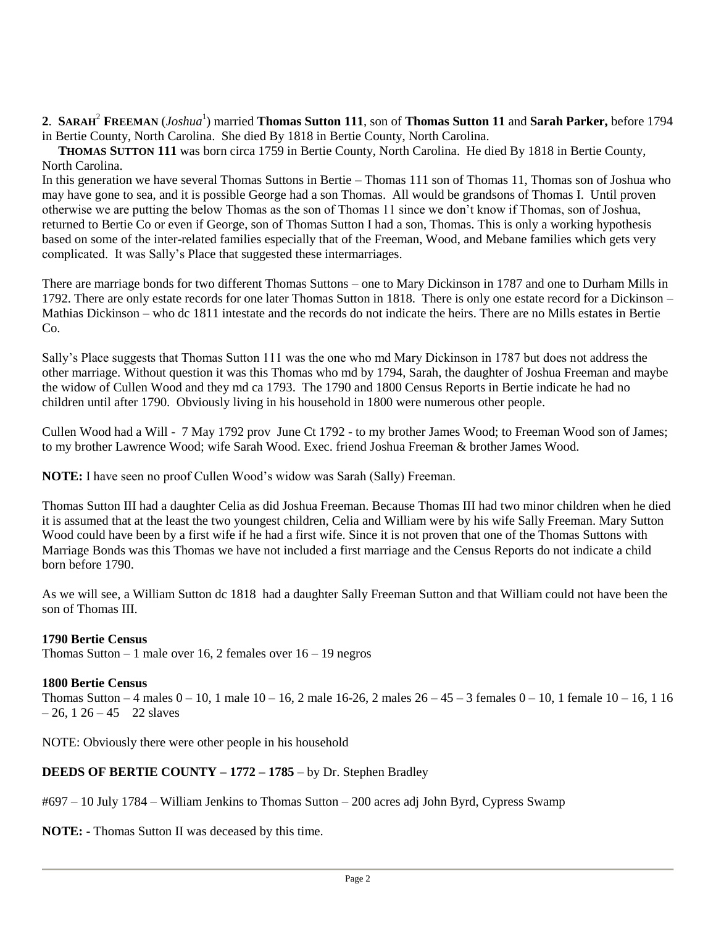## **2**. **SARAH**<sup>2</sup> **FREEMAN** (*Joshua*<sup>1</sup> ) married **Thomas Sutton 111**, son of **Thomas Sutton 11** and **Sarah Parker,** before 1794 in Bertie County, North Carolina. She died By 1818 in Bertie County, North Carolina.

 **THOMAS SUTTON 111** was born circa 1759 in Bertie County, North Carolina. He died By 1818 in Bertie County, North Carolina.

In this generation we have several Thomas Suttons in Bertie – Thomas 111 son of Thomas 11, Thomas son of Joshua who may have gone to sea, and it is possible George had a son Thomas. All would be grandsons of Thomas I. Until proven otherwise we are putting the below Thomas as the son of Thomas 11 since we don't know if Thomas, son of Joshua, returned to Bertie Co or even if George, son of Thomas Sutton I had a son, Thomas. This is only a working hypothesis based on some of the inter-related families especially that of the Freeman, Wood, and Mebane families which gets very complicated. It was Sally's Place that suggested these intermarriages.

There are marriage bonds for two different Thomas Suttons – one to Mary Dickinson in 1787 and one to Durham Mills in 1792. There are only estate records for one later Thomas Sutton in 1818. There is only one estate record for a Dickinson – Mathias Dickinson – who dc 1811 intestate and the records do not indicate the heirs. There are no Mills estates in Bertie  $Co$ 

Sally's Place suggests that Thomas Sutton 111 was the one who md Mary Dickinson in 1787 but does not address the other marriage. Without question it was this Thomas who md by 1794, Sarah, the daughter of Joshua Freeman and maybe the widow of Cullen Wood and they md ca 1793. The 1790 and 1800 Census Reports in Bertie indicate he had no children until after 1790. Obviously living in his household in 1800 were numerous other people.

Cullen Wood had a Will - 7 May 1792 prov June Ct 1792 - to my brother James Wood; to Freeman Wood son of James; to my brother Lawrence Wood; wife Sarah Wood. Exec. friend Joshua Freeman & brother James Wood.

**NOTE:** I have seen no proof Cullen Wood's widow was Sarah (Sally) Freeman.

Thomas Sutton III had a daughter Celia as did Joshua Freeman. Because Thomas III had two minor children when he died it is assumed that at the least the two youngest children, Celia and William were by his wife Sally Freeman. Mary Sutton Wood could have been by a first wife if he had a first wife. Since it is not proven that one of the Thomas Suttons with Marriage Bonds was this Thomas we have not included a first marriage and the Census Reports do not indicate a child born before 1790.

As we will see, a William Sutton dc 1818 had a daughter Sally Freeman Sutton and that William could not have been the son of Thomas III.

## **1790 Bertie Census**

Thomas Sutton – 1 male over 16, 2 females over  $16 - 19$  negros

## **1800 Bertie Census**

Thomas Sutton – 4 males  $0 - 10$ , 1 male  $10 - 16$ , 2 male  $16 - 26$ , 2 males  $26 - 45 - 3$  females  $0 - 10$ , 1 female  $10 - 16$ , 1 16  $-26$ , 1 26 – 45 22 slaves

NOTE: Obviously there were other people in his household

## **DEEDS OF BERTIE COUNTY – 1772 – 1785** – by Dr. Stephen Bradley

#697 – 10 July 1784 – William Jenkins to Thomas Sutton – 200 acres adj John Byrd, Cypress Swamp

**NOTE:** - Thomas Sutton II was deceased by this time.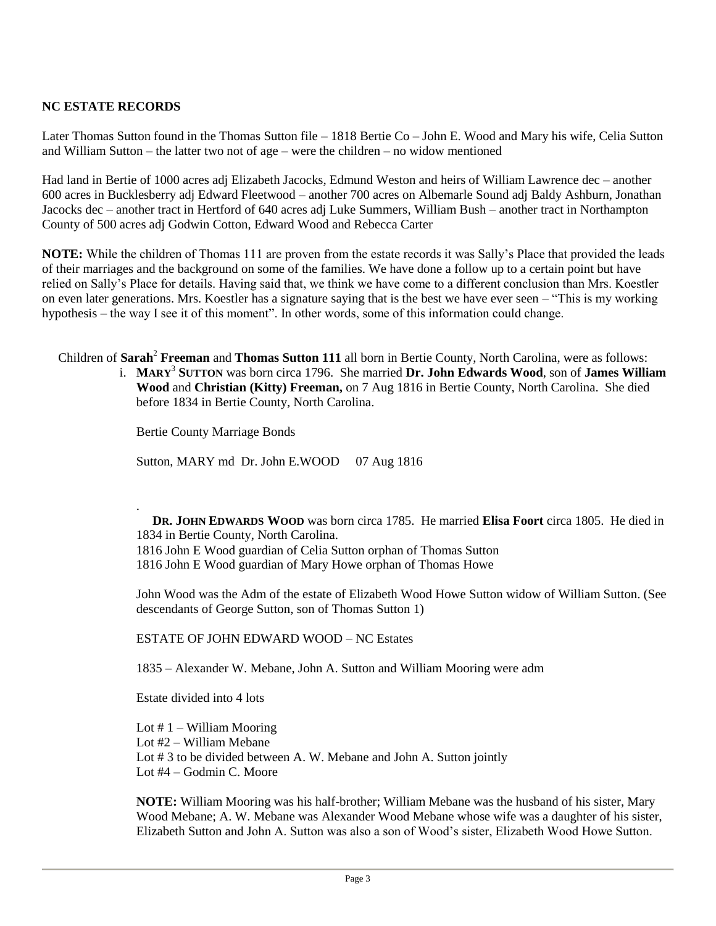# **NC ESTATE RECORDS**

Later Thomas Sutton found in the Thomas Sutton file – 1818 Bertie Co – John E. Wood and Mary his wife, Celia Sutton and William Sutton – the latter two not of age – were the children – no widow mentioned

Had land in Bertie of 1000 acres adj Elizabeth Jacocks, Edmund Weston and heirs of William Lawrence dec – another 600 acres in Bucklesberry adj Edward Fleetwood – another 700 acres on Albemarle Sound adj Baldy Ashburn, Jonathan Jacocks dec – another tract in Hertford of 640 acres adj Luke Summers, William Bush – another tract in Northampton County of 500 acres adj Godwin Cotton, Edward Wood and Rebecca Carter

**NOTE:** While the children of Thomas 111 are proven from the estate records it was Sally's Place that provided the leads of their marriages and the background on some of the families. We have done a follow up to a certain point but have relied on Sally's Place for details. Having said that, we think we have come to a different conclusion than Mrs. Koestler on even later generations. Mrs. Koestler has a signature saying that is the best we have ever seen – "This is my working hypothesis – the way I see it of this moment". In other words, some of this information could change.

Children of **Sarah**<sup>2</sup> **Freeman** and **Thomas Sutton 111** all born in Bertie County, North Carolina, were as follows:

i. **MARY**<sup>3</sup> **SUTTON** was born circa 1796. She married **Dr. John Edwards Wood**, son of **James William Wood** and **Christian (Kitty) Freeman,** on 7 Aug 1816 in Bertie County, North Carolina. She died before 1834 in Bertie County, North Carolina.

Bertie County Marriage Bonds

Sutton, MARY md Dr. John E.WOOD 07 Aug 1816

. **DR. JOHN EDWARDS WOOD** was born circa 1785. He married **Elisa Foort** circa 1805. He died in 1834 in Bertie County, North Carolina. 1816 John E Wood guardian of Celia Sutton orphan of Thomas Sutton 1816 John E Wood guardian of Mary Howe orphan of Thomas Howe

John Wood was the Adm of the estate of Elizabeth Wood Howe Sutton widow of William Sutton. (See descendants of George Sutton, son of Thomas Sutton 1)

ESTATE OF JOHN EDWARD WOOD – NC Estates

1835 – Alexander W. Mebane, John A. Sutton and William Mooring were adm

Estate divided into 4 lots

Lot  $# 1 -$  William Mooring Lot #2 – William Mebane Lot #3 to be divided between A. W. Mebane and John A. Sutton jointly Lot #4 – Godmin C. Moore

**NOTE:** William Mooring was his half-brother; William Mebane was the husband of his sister, Mary Wood Mebane; A. W. Mebane was Alexander Wood Mebane whose wife was a daughter of his sister, Elizabeth Sutton and John A. Sutton was also a son of Wood's sister, Elizabeth Wood Howe Sutton.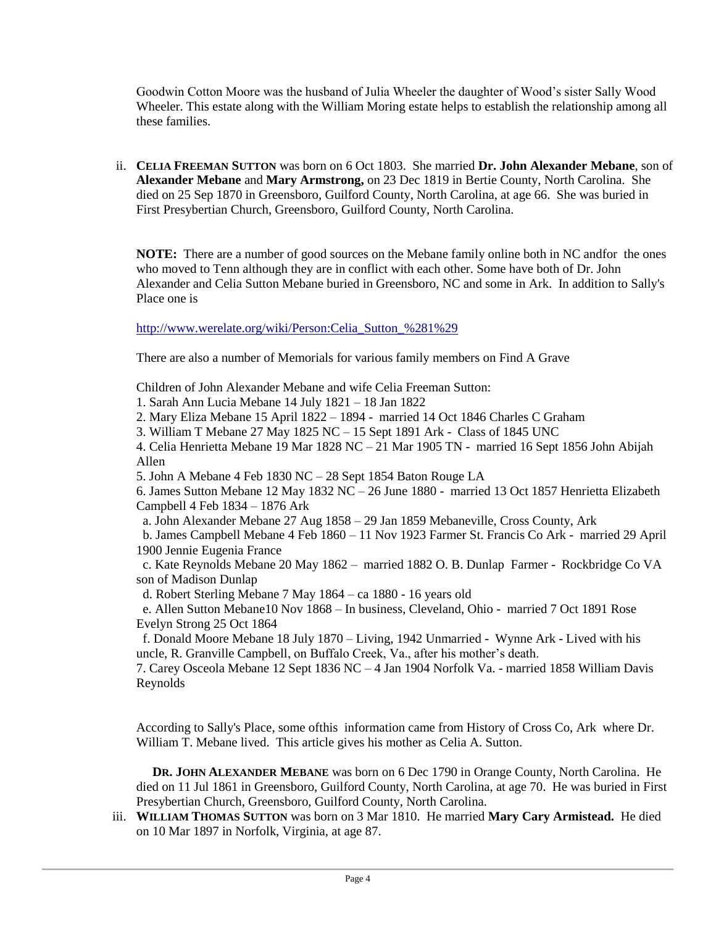Goodwin Cotton Moore was the husband of Julia Wheeler the daughter of Wood's sister Sally Wood Wheeler. This estate along with the William Moring estate helps to establish the relationship among all these families.

ii. **CELIA FREEMAN SUTTON** was born on 6 Oct 1803. She married **Dr. John Alexander Mebane**, son of **Alexander Mebane** and **Mary Armstrong,** on 23 Dec 1819 in Bertie County, North Carolina. She died on 25 Sep 1870 in Greensboro, Guilford County, North Carolina, at age 66. She was buried in First Presybertian Church, Greensboro, Guilford County, North Carolina.

**NOTE:** There are a number of good sources on the Mebane family online both in NC andfor the ones who moved to Tenn although they are in conflict with each other. Some have both of Dr. John Alexander and Celia Sutton Mebane buried in Greensboro, NC and some in Ark. In addition to Sally's Place one is

http://www.werelate.org/wiki/Person:Celia\_Sutton\_%281%29

There are also a number of Memorials for various family members on Find A Grave

Children of John Alexander Mebane and wife Celia Freeman Sutton:

- 1. Sarah Ann Lucia Mebane 14 July 1821 18 Jan 1822
- 2. Mary Eliza Mebane 15 April 1822 1894 married 14 Oct 1846 Charles C Graham
- 3. William T Mebane 27 May 1825 NC 15 Sept 1891 Ark Class of 1845 UNC

4. Celia Henrietta Mebane 19 Mar 1828 NC – 21 Mar 1905 TN - married 16 Sept 1856 John Abijah Allen

5. John A Mebane 4 Feb 1830 NC – 28 Sept 1854 Baton Rouge LA

6. James Sutton Mebane 12 May 1832 NC – 26 June 1880 - married 13 Oct 1857 Henrietta Elizabeth Campbell 4 Feb 1834 – 1876 Ark

a. John Alexander Mebane 27 Aug 1858 – 29 Jan 1859 Mebaneville, Cross County, Ark

 b. James Campbell Mebane 4 Feb 1860 – 11 Nov 1923 Farmer St. Francis Co Ark - married 29 April 1900 Jennie Eugenia France

 c. Kate Reynolds Mebane 20 May 1862 – married 1882 O. B. Dunlap Farmer - Rockbridge Co VA son of Madison Dunlap

d. Robert Sterling Mebane 7 May 1864 – ca 1880 - 16 years old

 e. Allen Sutton Mebane10 Nov 1868 – In business, Cleveland, Ohio - married 7 Oct 1891 Rose Evelyn Strong 25 Oct 1864

 f. Donald Moore Mebane 18 July 1870 – Living, 1942 Unmarried - Wynne Ark - Lived with his uncle, R. Granville Campbell, on Buffalo Creek, Va., after his mother's death.

7. Carey Osceola Mebane 12 Sept 1836 NC – 4 Jan 1904 Norfolk Va. - married 1858 William Davis Reynolds

According to Sally's Place, some ofthis information came from History of Cross Co, Ark where Dr. William T. Mebane lived. This article gives his mother as Celia A. Sutton.

 **DR. JOHN ALEXANDER MEBANE** was born on 6 Dec 1790 in Orange County, North Carolina. He died on 11 Jul 1861 in Greensboro, Guilford County, North Carolina, at age 70. He was buried in First Presybertian Church, Greensboro, Guilford County, North Carolina.

iii. **WILLIAM THOMAS SUTTON** was born on 3 Mar 1810. He married **Mary Cary Armistead.** He died on 10 Mar 1897 in Norfolk, Virginia, at age 87.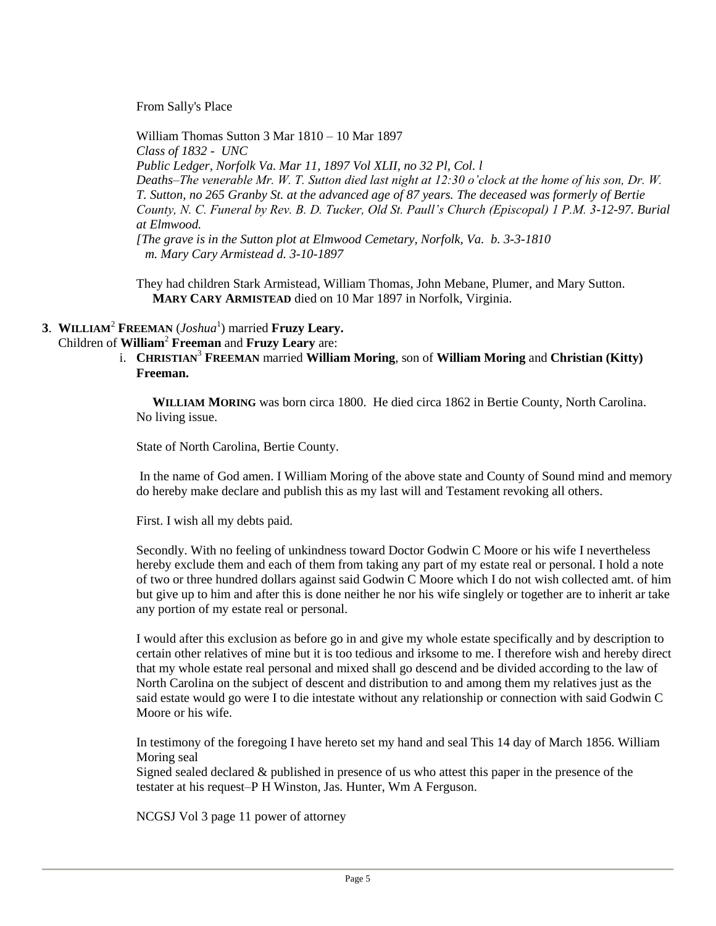From Sally's Place

William Thomas Sutton 3 Mar 1810 – 10 Mar 1897 *Class of 1832 - UNC Public Ledger, Norfolk Va. Mar 11, 1897 Vol XLII, no 32 Pl, Col. l Deaths–The venerable Mr. W. T. Sutton died last night at 12:30 o'clock at the home of his son, Dr. W. T. Sutton, no 265 Granby St. at the advanced age of 87 years. The deceased was formerly of Bertie County, N. C. Funeral by Rev. B. D. Tucker, Old St. Paull's Church (Episcopal) 1 P.M. 3-12-97. Burial at Elmwood. [The grave is in the Sutton plot at Elmwood Cemetary, Norfolk, Va. b. 3-3-1810* 

 *m. Mary Cary Armistead d. 3-10-1897*

They had children Stark Armistead, William Thomas, John Mebane, Plumer, and Mary Sutton. **MARY CARY ARMISTEAD** died on 10 Mar 1897 in Norfolk, Virginia.

**3**. **WILLIAM**<sup>2</sup> **FREEMAN** (*Joshua*<sup>1</sup> ) married **Fruzy Leary.**

# Children of **William**<sup>2</sup> **Freeman** and **Fruzy Leary** are:

i. **CHRISTIAN**<sup>3</sup> **FREEMAN** married **William Moring**, son of **William Moring** and **Christian (Kitty) Freeman.**

 **WILLIAM MORING** was born circa 1800. He died circa 1862 in Bertie County, North Carolina. No living issue.

State of North Carolina, Bertie County.

In the name of God amen. I William Moring of the above state and County of Sound mind and memory do hereby make declare and publish this as my last will and Testament revoking all others.

First. I wish all my debts paid.

Secondly. With no feeling of unkindness toward Doctor Godwin C Moore or his wife I nevertheless hereby exclude them and each of them from taking any part of my estate real or personal. I hold a note of two or three hundred dollars against said Godwin C Moore which I do not wish collected amt. of him but give up to him and after this is done neither he nor his wife singlely or together are to inherit ar take any portion of my estate real or personal.

I would after this exclusion as before go in and give my whole estate specifically and by description to certain other relatives of mine but it is too tedious and irksome to me. I therefore wish and hereby direct that my whole estate real personal and mixed shall go descend and be divided according to the law of North Carolina on the subject of descent and distribution to and among them my relatives just as the said estate would go were I to die intestate without any relationship or connection with said Godwin C Moore or his wife.

In testimony of the foregoing I have hereto set my hand and seal This 14 day of March 1856. William Moring seal

Signed sealed declared & published in presence of us who attest this paper in the presence of the testater at his request–P H Winston, Jas. Hunter, Wm A Ferguson.

NCGSJ Vol 3 page 11 power of attorney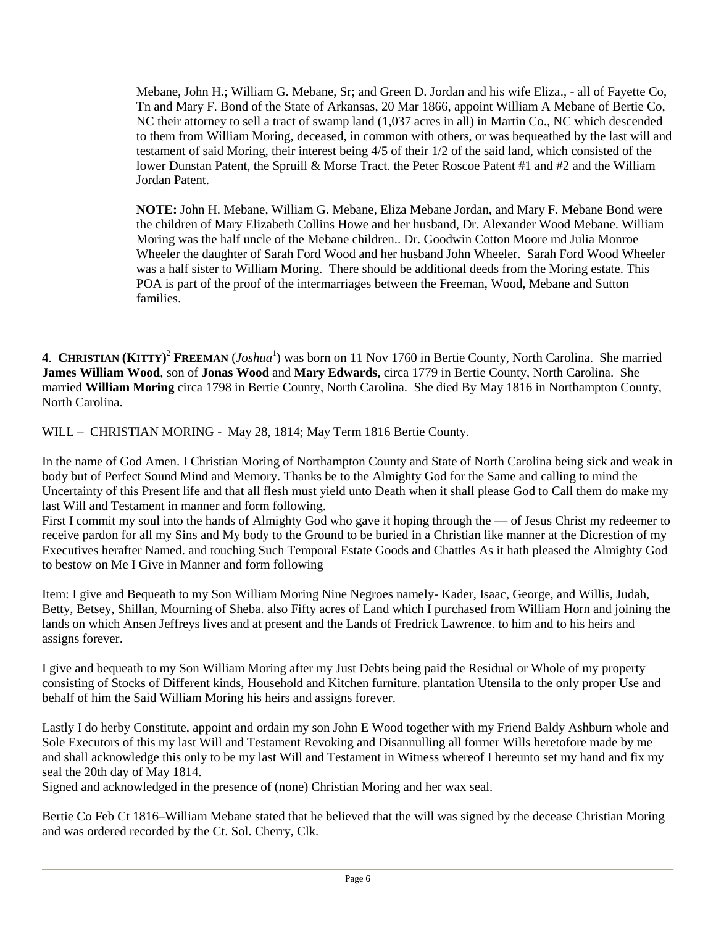Mebane, John H.; William G. Mebane, Sr; and Green D. Jordan and his wife Eliza., - all of Fayette Co, Tn and Mary F. Bond of the State of Arkansas, 20 Mar 1866, appoint William A Mebane of Bertie Co, NC their attorney to sell a tract of swamp land (1,037 acres in all) in Martin Co., NC which descended to them from William Moring, deceased, in common with others, or was bequeathed by the last will and testament of said Moring, their interest being 4/5 of their 1/2 of the said land, which consisted of the lower Dunstan Patent, the Spruill & Morse Tract. the Peter Roscoe Patent #1 and #2 and the William Jordan Patent.

**NOTE:** John H. Mebane, William G. Mebane, Eliza Mebane Jordan, and Mary F. Mebane Bond were the children of Mary Elizabeth Collins Howe and her husband, Dr. Alexander Wood Mebane. William Moring was the half uncle of the Mebane children.. Dr. Goodwin Cotton Moore md Julia Monroe Wheeler the daughter of Sarah Ford Wood and her husband John Wheeler. Sarah Ford Wood Wheeler was a half sister to William Moring. There should be additional deeds from the Moring estate. This POA is part of the proof of the intermarriages between the Freeman, Wood, Mebane and Sutton families.

4. **CHRISTIAN (KITTY)<sup>2</sup> FREEMAN (***Joshua***<sup>1</sup>) was born on 11 Nov 1760 in Bertie County, North Carolina. She married James William Wood**, son of **Jonas Wood** and **Mary Edwards,** circa 1779 in Bertie County, North Carolina. She married **William Moring** circa 1798 in Bertie County, North Carolina. She died By May 1816 in Northampton County, North Carolina.

WILL – CHRISTIAN MORING - May 28, 1814; May Term 1816 Bertie County.

In the name of God Amen. I Christian Moring of Northampton County and State of North Carolina being sick and weak in body but of Perfect Sound Mind and Memory. Thanks be to the Almighty God for the Same and calling to mind the Uncertainty of this Present life and that all flesh must yield unto Death when it shall please God to Call them do make my last Will and Testament in manner and form following.

First I commit my soul into the hands of Almighty God who gave it hoping through the — of Jesus Christ my redeemer to receive pardon for all my Sins and My body to the Ground to be buried in a Christian like manner at the Dicrestion of my Executives herafter Named. and touching Such Temporal Estate Goods and Chattles As it hath pleased the Almighty God to bestow on Me I Give in Manner and form following

Item: I give and Bequeath to my Son William Moring Nine Negroes namely- Kader, Isaac, George, and Willis, Judah, Betty, Betsey, Shillan, Mourning of Sheba. also Fifty acres of Land which I purchased from William Horn and joining the lands on which Ansen Jeffreys lives and at present and the Lands of Fredrick Lawrence. to him and to his heirs and assigns forever.

I give and bequeath to my Son William Moring after my Just Debts being paid the Residual or Whole of my property consisting of Stocks of Different kinds, Household and Kitchen furniture. plantation Utensila to the only proper Use and behalf of him the Said William Moring his heirs and assigns forever.

Lastly I do herby Constitute, appoint and ordain my son John E Wood together with my Friend Baldy Ashburn whole and Sole Executors of this my last Will and Testament Revoking and Disannulling all former Wills heretofore made by me and shall acknowledge this only to be my last Will and Testament in Witness whereof I hereunto set my hand and fix my seal the 20th day of May 1814.

Signed and acknowledged in the presence of (none) Christian Moring and her wax seal.

Bertie Co Feb Ct 1816–William Mebane stated that he believed that the will was signed by the decease Christian Moring and was ordered recorded by the Ct. Sol. Cherry, Clk.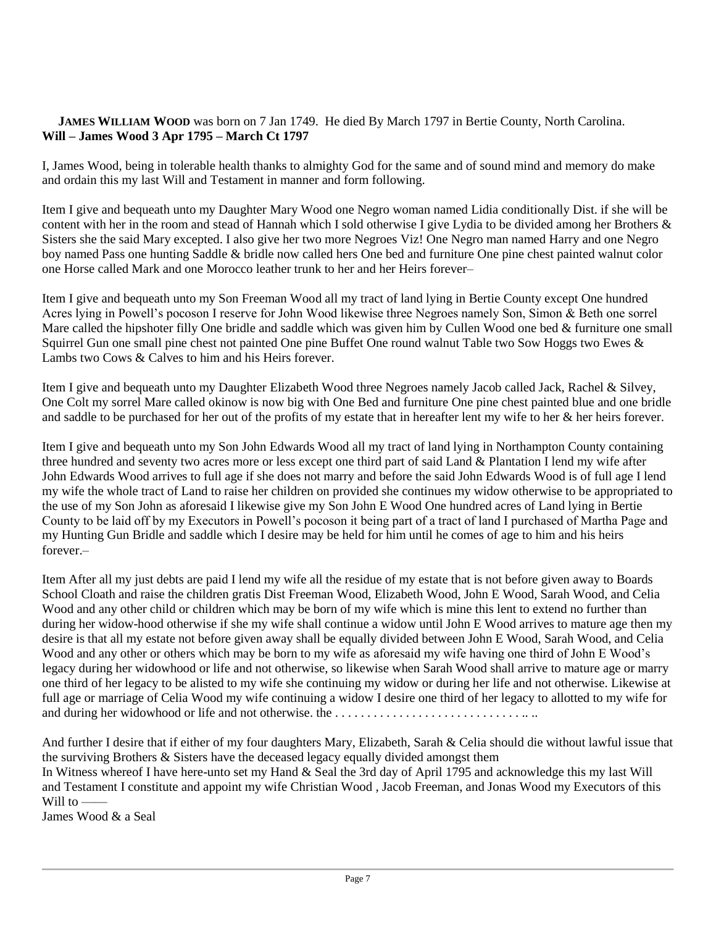#### **JAMES WILLIAM WOOD** was born on 7 Jan 1749. He died By March 1797 in Bertie County, North Carolina. **Will – James Wood 3 Apr 1795 – March Ct 1797**

I, James Wood, being in tolerable health thanks to almighty God for the same and of sound mind and memory do make and ordain this my last Will and Testament in manner and form following.

Item I give and bequeath unto my Daughter Mary Wood one Negro woman named Lidia conditionally Dist. if she will be content with her in the room and stead of Hannah which I sold otherwise I give Lydia to be divided among her Brothers & Sisters she the said Mary excepted. I also give her two more Negroes Viz! One Negro man named Harry and one Negro boy named Pass one hunting Saddle & bridle now called hers One bed and furniture One pine chest painted walnut color one Horse called Mark and one Morocco leather trunk to her and her Heirs forever–

Item I give and bequeath unto my Son Freeman Wood all my tract of land lying in Bertie County except One hundred Acres lying in Powell's pocoson I reserve for John Wood likewise three Negroes namely Son, Simon & Beth one sorrel Mare called the hipshoter filly One bridle and saddle which was given him by Cullen Wood one bed & furniture one small Squirrel Gun one small pine chest not painted One pine Buffet One round walnut Table two Sow Hoggs two Ewes & Lambs two Cows & Calves to him and his Heirs forever.

Item I give and bequeath unto my Daughter Elizabeth Wood three Negroes namely Jacob called Jack, Rachel & Silvey, One Colt my sorrel Mare called okinow is now big with One Bed and furniture One pine chest painted blue and one bridle and saddle to be purchased for her out of the profits of my estate that in hereafter lent my wife to her & her heirs forever.

Item I give and bequeath unto my Son John Edwards Wood all my tract of land lying in Northampton County containing three hundred and seventy two acres more or less except one third part of said Land & Plantation I lend my wife after John Edwards Wood arrives to full age if she does not marry and before the said John Edwards Wood is of full age I lend my wife the whole tract of Land to raise her children on provided she continues my widow otherwise to be appropriated to the use of my Son John as aforesaid I likewise give my Son John E Wood One hundred acres of Land lying in Bertie County to be laid off by my Executors in Powell's pocoson it being part of a tract of land I purchased of Martha Page and my Hunting Gun Bridle and saddle which I desire may be held for him until he comes of age to him and his heirs  $forever -$ 

Item After all my just debts are paid I lend my wife all the residue of my estate that is not before given away to Boards School Cloath and raise the children gratis Dist Freeman Wood, Elizabeth Wood, John E Wood, Sarah Wood, and Celia Wood and any other child or children which may be born of my wife which is mine this lent to extend no further than during her widow-hood otherwise if she my wife shall continue a widow until John E Wood arrives to mature age then my desire is that all my estate not before given away shall be equally divided between John E Wood, Sarah Wood, and Celia Wood and any other or others which may be born to my wife as aforesaid my wife having one third of John E Wood's legacy during her widowhood or life and not otherwise, so likewise when Sarah Wood shall arrive to mature age or marry one third of her legacy to be alisted to my wife she continuing my widow or during her life and not otherwise. Likewise at full age or marriage of Celia Wood my wife continuing a widow I desire one third of her legacy to allotted to my wife for and during her widowhood or life and not otherwise. the . . . . . . . . . . . . . . . . . . . . . . . . . . . . . .. ..

And further I desire that if either of my four daughters Mary, Elizabeth, Sarah & Celia should die without lawful issue that the surviving Brothers & Sisters have the deceased legacy equally divided amongst them In Witness whereof I have here-unto set my Hand & Seal the 3rd day of April 1795 and acknowledge this my last Will and Testament I constitute and appoint my wife Christian Wood , Jacob Freeman, and Jonas Wood my Executors of this Will to  $-$ 

James Wood & a Seal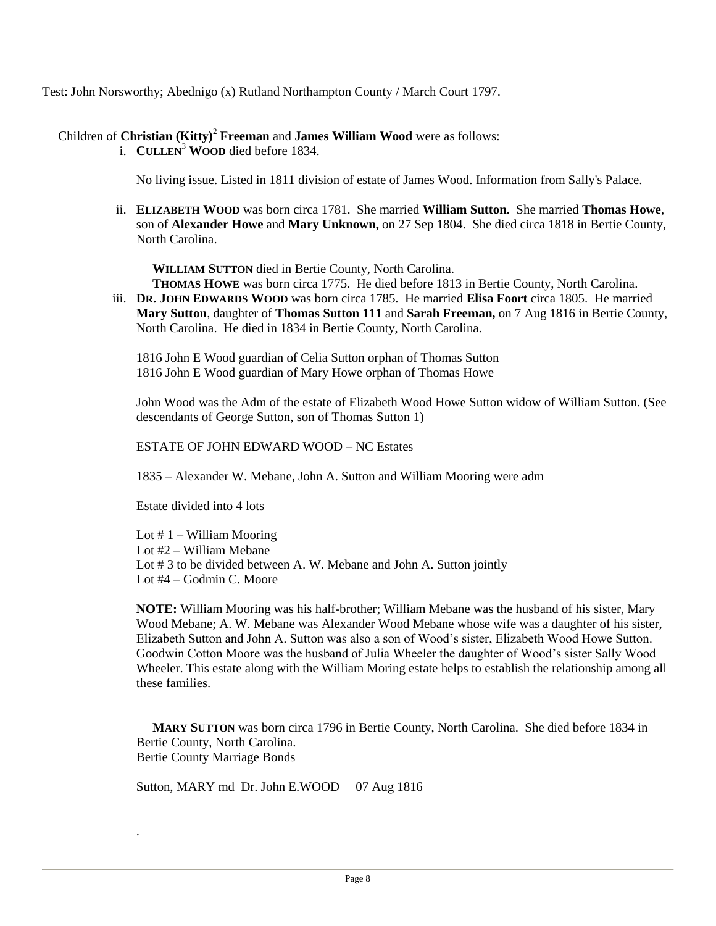Test: John Norsworthy; Abednigo (x) Rutland Northampton County / March Court 1797.

# Children of **Christian (Kitty)**<sup>2</sup> **Freeman** and **James William Wood** were as follows:

i. **CULLEN**<sup>3</sup> **WOOD** died before 1834.

No living issue. Listed in 1811 division of estate of James Wood. Information from Sally's Palace.

ii. **ELIZABETH WOOD** was born circa 1781. She married **William Sutton.** She married **Thomas Howe**, son of **Alexander Howe** and **Mary Unknown,** on 27 Sep 1804. She died circa 1818 in Bertie County, North Carolina.

**WILLIAM SUTTON** died in Bertie County, North Carolina.

**THOMAS HOWE** was born circa 1775. He died before 1813 in Bertie County, North Carolina.

iii. **DR. JOHN EDWARDS WOOD** was born circa 1785. He married **Elisa Foort** circa 1805. He married **Mary Sutton**, daughter of **Thomas Sutton 111** and **Sarah Freeman,** on 7 Aug 1816 in Bertie County, North Carolina. He died in 1834 in Bertie County, North Carolina.

1816 John E Wood guardian of Celia Sutton orphan of Thomas Sutton 1816 John E Wood guardian of Mary Howe orphan of Thomas Howe

John Wood was the Adm of the estate of Elizabeth Wood Howe Sutton widow of William Sutton. (See descendants of George Sutton, son of Thomas Sutton 1)

ESTATE OF JOHN EDWARD WOOD – NC Estates

1835 – Alexander W. Mebane, John A. Sutton and William Mooring were adm

Estate divided into 4 lots

.

Lot  $# 1 -$  William Mooring Lot #2 – William Mebane Lot # 3 to be divided between A. W. Mebane and John A. Sutton jointly Lot #4 – Godmin C. Moore

**NOTE:** William Mooring was his half-brother; William Mebane was the husband of his sister, Mary Wood Mebane; A. W. Mebane was Alexander Wood Mebane whose wife was a daughter of his sister, Elizabeth Sutton and John A. Sutton was also a son of Wood's sister, Elizabeth Wood Howe Sutton. Goodwin Cotton Moore was the husband of Julia Wheeler the daughter of Wood's sister Sally Wood Wheeler. This estate along with the William Moring estate helps to establish the relationship among all these families.

 **MARY SUTTON** was born circa 1796 in Bertie County, North Carolina. She died before 1834 in Bertie County, North Carolina. Bertie County Marriage Bonds

Sutton, MARY md Dr. John E.WOOD 07 Aug 1816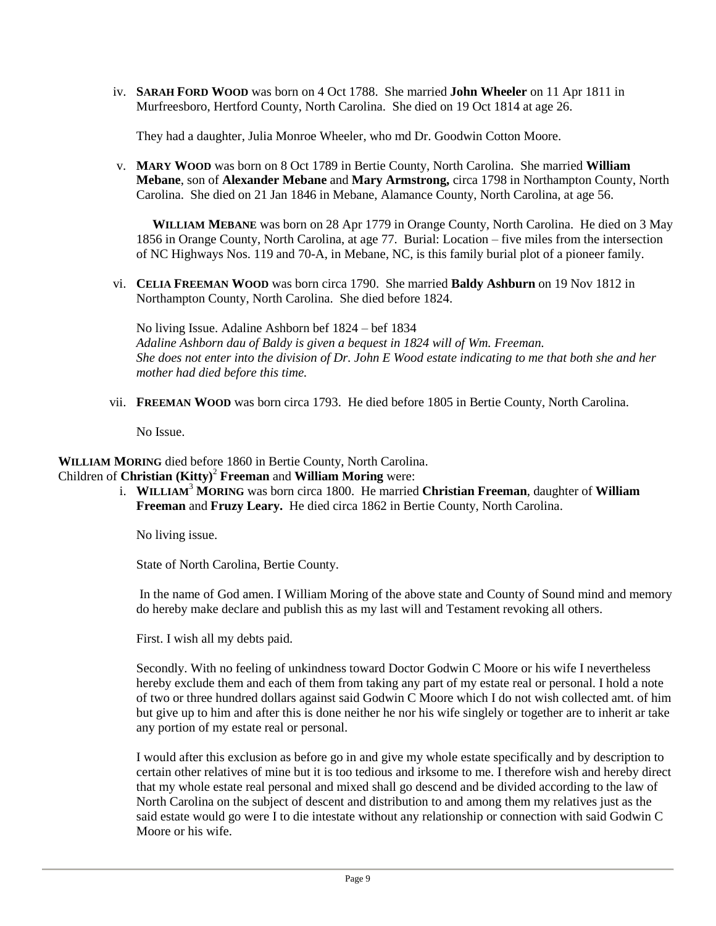iv. **SARAH FORD WOOD** was born on 4 Oct 1788. She married **John Wheeler** on 11 Apr 1811 in Murfreesboro, Hertford County, North Carolina. She died on 19 Oct 1814 at age 26.

They had a daughter, Julia Monroe Wheeler, who md Dr. Goodwin Cotton Moore.

v. **MARY WOOD** was born on 8 Oct 1789 in Bertie County, North Carolina. She married **William Mebane**, son of **Alexander Mebane** and **Mary Armstrong,** circa 1798 in Northampton County, North Carolina. She died on 21 Jan 1846 in Mebane, Alamance County, North Carolina, at age 56.

 **WILLIAM MEBANE** was born on 28 Apr 1779 in Orange County, North Carolina. He died on 3 May 1856 in Orange County, North Carolina, at age 77. Burial: Location – five miles from the intersection of NC Highways Nos. 119 and 70-A, in Mebane, NC, is this family burial plot of a pioneer family.

vi. **CELIA FREEMAN WOOD** was born circa 1790. She married **Baldy Ashburn** on 19 Nov 1812 in Northampton County, North Carolina. She died before 1824.

No living Issue. Adaline Ashborn bef 1824 – bef 1834 *Adaline Ashborn dau of Baldy is given a bequest in 1824 will of Wm. Freeman. She does not enter into the division of Dr. John E Wood estate indicating to me that both she and her mother had died before this time.*

vii. **FREEMAN WOOD** was born circa 1793. He died before 1805 in Bertie County, North Carolina.

No Issue.

 **WILLIAM MORING** died before 1860 in Bertie County, North Carolina. Children of **Christian (Kitty)**<sup>2</sup> **Freeman** and **William Moring** were:

i. **WILLIAM**<sup>3</sup> **MORING** was born circa 1800. He married **Christian Freeman**, daughter of **William Freeman** and **Fruzy Leary.** He died circa 1862 in Bertie County, North Carolina.

No living issue.

State of North Carolina, Bertie County.

In the name of God amen. I William Moring of the above state and County of Sound mind and memory do hereby make declare and publish this as my last will and Testament revoking all others.

First. I wish all my debts paid.

Secondly. With no feeling of unkindness toward Doctor Godwin C Moore or his wife I nevertheless hereby exclude them and each of them from taking any part of my estate real or personal. I hold a note of two or three hundred dollars against said Godwin C Moore which I do not wish collected amt. of him but give up to him and after this is done neither he nor his wife singlely or together are to inherit ar take any portion of my estate real or personal.

I would after this exclusion as before go in and give my whole estate specifically and by description to certain other relatives of mine but it is too tedious and irksome to me. I therefore wish and hereby direct that my whole estate real personal and mixed shall go descend and be divided according to the law of North Carolina on the subject of descent and distribution to and among them my relatives just as the said estate would go were I to die intestate without any relationship or connection with said Godwin C Moore or his wife.